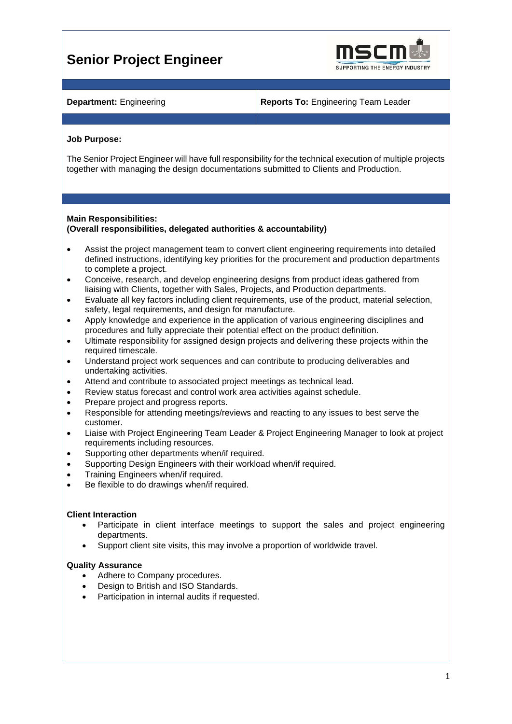# **Senior Project Engineer**



**Department:** Engineering **Reports To:** Engineering Team Leader

## **Job Purpose:**

The Senior Project Engineer will have full responsibility for the technical execution of multiple projects together with managing the design documentations submitted to Clients and Production.

# **Main Responsibilities:**

# **(Overall responsibilities, delegated authorities & accountability)**

- Assist the project management team to convert client engineering requirements into detailed defined instructions, identifying key priorities for the procurement and production departments to complete a project.
- Conceive, research, and develop engineering designs from product ideas gathered from liaising with Clients, together with Sales, Projects, and Production departments.
- Evaluate all key factors including client requirements, use of the product, material selection, safety, legal requirements, and design for manufacture.
- Apply knowledge and experience in the application of various engineering disciplines and procedures and fully appreciate their potential effect on the product definition.
- Ultimate responsibility for assigned design projects and delivering these projects within the required timescale.
- Understand project work sequences and can contribute to producing deliverables and undertaking activities.
- Attend and contribute to associated project meetings as technical lead.
- Review status forecast and control work area activities against schedule.
- Prepare project and progress reports.
- Responsible for attending meetings/reviews and reacting to any issues to best serve the customer.
- Liaise with Project Engineering Team Leader & Project Engineering Manager to look at project requirements including resources.
- Supporting other departments when/if required.
- Supporting Design Engineers with their workload when/if required.
- Training Engineers when/if required.
- Be flexible to do drawings when/if required.

#### **Client Interaction**

- Participate in client interface meetings to support the sales and project engineering departments.
- Support client site visits, this may involve a proportion of worldwide travel.

#### **Quality Assurance**

- Adhere to Company procedures.
- Design to British and ISO Standards.
- Participation in internal audits if requested.